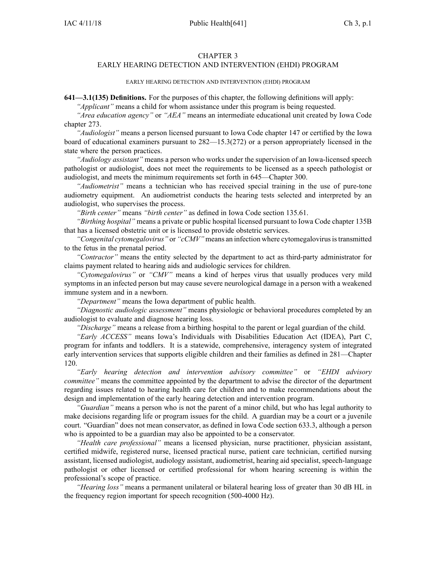#### CHAPTER 3

# EARLY HEARING DETECTION AND INTERVENTION (EHDI) PROGRAM

#### EARLY HEARING DETECTION AND INTERVENTION (EHDI) PROGRAM

**641—3.1(135) Definitions.** For the purposes of this chapter, the following definitions will apply:

*"Applicant"* means <sup>a</sup> child for whom assistance under this program is being requested.

*"Area education agency"* or *"AEA"* means an intermediate educational unit created by Iowa Code chapter [273](https://www.legis.iowa.gov/docs/ico/chapter/273.pdf).

*"Audiologist"* means <sup>a</sup> person licensed pursuan<sup>t</sup> to Iowa Code chapter [147](https://www.legis.iowa.gov/docs/ico/chapter/147.pdf) or certified by the Iowa board of educational examiners pursuan<sup>t</sup> to [282—15.3\(272\)](https://www.legis.iowa.gov/docs/iac/rule/282.15.3.pdf) or <sup>a</sup> person appropriately licensed in the state where the person practices.

*"Audiology assistant"* means <sup>a</sup> person who works under the supervision of an Iowa-licensed speech pathologist or audiologist, does not meet the requirements to be licensed as <sup>a</sup> speech pathologist or audiologist, and meets the minimum requirements set forth in [645—Chapter](https://www.legis.iowa.gov/docs/iac/chapter/645.300.pdf) 300.

*"Audiometrist"* means <sup>a</sup> technician who has received special training in the use of pure-tone audiometry equipment. An audiometrist conducts the hearing tests selected and interpreted by an audiologist, who supervises the process.

*"Birth center"* means *"birth center"* as defined in Iowa Code section [135.61](https://www.legis.iowa.gov/docs/ico/section/135.61.pdf).

*"Birthing hospital"* means <sup>a</sup> private or public hospital licensed pursuan<sup>t</sup> to Iowa Code chapter [135B](https://www.legis.iowa.gov/docs/ico/chapter/135B.pdf) that has <sup>a</sup> licensed obstetric unit or is licensed to provide obstetric services.

*"Congenital cytomegalovirus"* or "*cCMV*" means an infection where cytomegalovirus is transmitted to the fetus in the prenatal period.

*"Contractor"* means the entity selected by the department to act as third-party administrator for claims paymen<sup>t</sup> related to hearing aids and audiologic services for children.

*"Cytomegalovirus"* or *"CMV"* means <sup>a</sup> kind of herpes virus that usually produces very mild symptoms in an infected person but may cause severe neurological damage in <sup>a</sup> person with <sup>a</sup> weakened immune system and in <sup>a</sup> newborn.

*"Department"* means the Iowa department of public health.

*"Diagnostic audiologic assessment"* means physiologic or behavioral procedures completed by an audiologist to evaluate and diagnose hearing loss.

*"Discharge"* means <sup>a</sup> release from <sup>a</sup> birthing hospital to the paren<sup>t</sup> or legal guardian of the child.

*"Early ACCESS"* means Iowa's Individuals with Disabilities Education Act (IDEA), Part C, program for infants and toddlers. It is <sup>a</sup> statewide, comprehensive, interagency system of integrated early intervention services that supports eligible children and their families as defined in [281—Chapter](https://www.legis.iowa.gov/docs/iac/chapter/281.120.pdf) [120](https://www.legis.iowa.gov/docs/iac/chapter/281.120.pdf).

*"Early hearing detection and intervention advisory committee"* or *"EHDI advisory committee"* means the committee appointed by the department to advise the director of the department regarding issues related to hearing health care for children and to make recommendations about the design and implementation of the early hearing detection and intervention program.

*"Guardian"* means <sup>a</sup> person who is not the paren<sup>t</sup> of <sup>a</sup> minor child, but who has legal authority to make decisions regarding life or program issues for the child. A guardian may be <sup>a</sup> court or <sup>a</sup> juvenile court. "Guardian" does not mean conservator, as defined in Iowa Code section [633.3](https://www.legis.iowa.gov/docs/ico/section/633.3.pdf), although <sup>a</sup> person who is appointed to be <sup>a</sup> guardian may also be appointed to be <sup>a</sup> conservator.

*"Health care professional"* means <sup>a</sup> licensed physician, nurse practitioner, physician assistant, certified midwife, registered nurse, licensed practical nurse, patient care technician, certified nursing assistant, licensed audiologist, audiology assistant, audiometrist, hearing aid specialist, speech-language pathologist or other licensed or certified professional for whom hearing screening is within the professional's scope of practice.

*"Hearing loss"* means <sup>a</sup> permanen<sup>t</sup> unilateral or bilateral hearing loss of greater than 30 dB HL in the frequency region important for speech recognition (500-4000 Hz).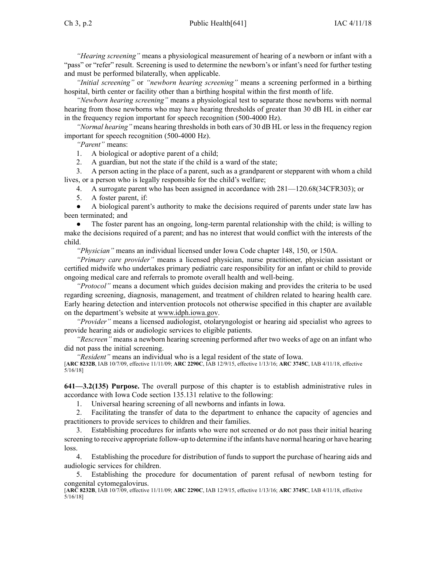*"Hearing screening"* means <sup>a</sup> physiological measurement of hearing of <sup>a</sup> newborn or infant with <sup>a</sup> "pass" or "refer" result. Screening is used to determine the newborn's or infant's need for further testing and must be performed bilaterally, when applicable.

*"Initial screening"* or *"newborn hearing screening"* means <sup>a</sup> screening performed in <sup>a</sup> birthing hospital, birth center or facility other than <sup>a</sup> birthing hospital within the first month of life.

*"Newborn hearing screening"* means <sup>a</sup> physiological test to separate those newborns with normal hearing from those newborns who may have hearing thresholds of greater than 30 dB HL in either ear in the frequency region important for speech recognition (500-4000 Hz).

*"Normal hearing"* means hearing thresholds in both ears of 30 dB HL or less in the frequency region important for speech recognition (500-4000 Hz).

*"Parent"* means:

1. A biological or adoptive paren<sup>t</sup> of <sup>a</sup> child;

2. A guardian, but not the state if the child is <sup>a</sup> ward of the state;

3. A person acting in the place of <sup>a</sup> parent, such as <sup>a</sup> grandparent or stepparent with whom <sup>a</sup> child lives, or <sup>a</sup> person who is legally responsible for the child's welfare;

4. A surrogate paren<sup>t</sup> who has been assigned in accordance with 281—120.68(34CFR303); or

5. A foster parent, if:

● A biological parent's authority to make the decisions required of parents under state law has been terminated; and

● The foster paren<sup>t</sup> has an ongoing, long-term parental relationship with the child; is willing to make the decisions required of <sup>a</sup> parent; and has no interest that would conflict with the interests of the child.

*"Physician"* means an individual licensed under Iowa Code chapter [148](https://www.legis.iowa.gov/docs/ico/chapter/148.pdf), [150](https://www.legis.iowa.gov/docs/ico/chapter/150.pdf), or [150A](https://www.legis.iowa.gov/docs/ico/chapter/150A.pdf).

*"Primary care provider"* means <sup>a</sup> licensed physician, nurse practitioner, physician assistant or certified midwife who undertakes primary pediatric care responsibility for an infant or child to provide ongoing medical care and referrals to promote overall health and well-being.

*"Protocol"* means <sup>a</sup> document which guides decision making and provides the criteria to be used regarding screening, diagnosis, management, and treatment of children related to hearing health care. Early hearing detection and intervention protocols not otherwise specified in this chapter are available on the department's website at [www.idph.iowa.gov](http://www.idph.iowa.gov).

*"Provider"* means <sup>a</sup> licensed audiologist, otolaryngologist or hearing aid specialist who agrees to provide hearing aids or audiologic services to eligible patients.

*"Rescreen"* means <sup>a</sup> newborn hearing screening performed after two weeks of age on an infant who did not pass the initial screening.

*"Resident"* means an individual who is <sup>a</sup> legal resident of the state of Iowa.

[**ARC [8232B](https://www.legis.iowa.gov/docs/aco/arc/8232B.pdf)**, IAB 10/7/09, effective 11/11/09; **ARC [2290C](https://www.legis.iowa.gov/docs/aco/arc/2290C.pdf)**, IAB 12/9/15, effective 1/13/16; **ARC [3745C](https://www.legis.iowa.gov/docs/aco/arc/3745C.pdf)**, IAB 4/11/18, effective 5/16/18]

**641—3.2(135) Purpose.** The overall purpose of this chapter is to establish administrative rules in accordance with Iowa Code section [135.131](https://www.legis.iowa.gov/docs/ico/section/135.131.pdf) relative to the following:

1. Universal hearing screening of all newborns and infants in Iowa.

2. Facilitating the transfer of data to the department to enhance the capacity of agencies and practitioners to provide services to children and their families.

3. Establishing procedures for infants who were not screened or do not pass their initial hearing screening to receive appropriate follow-up to determine if the infants have normal hearing or have hearing loss.

4. Establishing the procedure for distribution of funds to suppor<sup>t</sup> the purchase of hearing aids and audiologic services for children.

5. Establishing the procedure for documentation of paren<sup>t</sup> refusal of newborn testing for congenital cytomegalovirus.

[**ARC [8232B](https://www.legis.iowa.gov/docs/aco/arc/8232B.pdf)**, IAB 10/7/09, effective 11/11/09; **ARC [2290C](https://www.legis.iowa.gov/docs/aco/arc/2290C.pdf)**, IAB 12/9/15, effective 1/13/16; **ARC [3745C](https://www.legis.iowa.gov/docs/aco/arc/3745C.pdf)**, IAB 4/11/18, effective 5/16/18]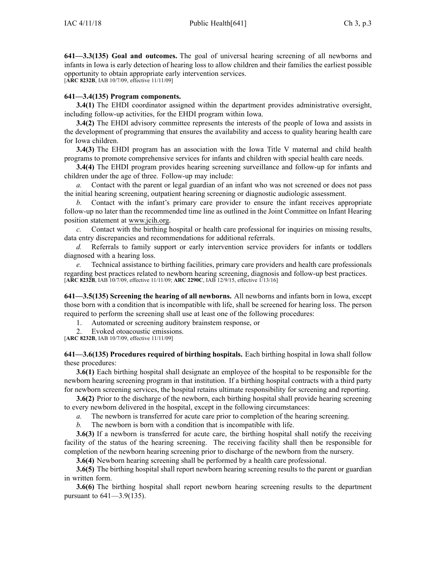**641—3.3(135) Goal and outcomes.** The goal of universal hearing screening of all newborns and infants in Iowa is early detection of hearing loss to allow children and their families the earliest possible opportunity to obtain appropriate early intervention services.

[**ARC [8232B](https://www.legis.iowa.gov/docs/aco/arc/8232B.pdf)**, IAB 10/7/09, effective 11/11/09]

# **641—3.4(135) Program components.**

**3.4(1)** The EHDI coordinator assigned within the department provides administrative oversight, including follow-up activities, for the EHDI program within Iowa.

**3.4(2)** The EHDI advisory committee represents the interests of the people of Iowa and assists in the development of programming that ensures the availability and access to quality hearing health care for Iowa children.

**3.4(3)** The EHDI program has an association with the Iowa Title V maternal and child health programs to promote comprehensive services for infants and children with special health care needs.

**3.4(4)** The EHDI program provides hearing screening surveillance and follow-up for infants and children under the age of three. Follow-up may include:

*a.* Contact with the paren<sup>t</sup> or legal guardian of an infant who was not screened or does not pass the initial hearing screening, outpatient hearing screening or diagnostic audiologic assessment.

*b.* Contact with the infant's primary care provider to ensure the infant receives appropriate follow-up no later than the recommended time line as outlined in the Joint Committee on Infant Hearing position statement at [www.jcih.org](http://www.jcih.org).

*c.* Contact with the birthing hospital or health care professional for inquiries on missing results, data entry discrepancies and recommendations for additional referrals.

*d.* Referrals to family suppor<sup>t</sup> or early intervention service providers for infants or toddlers diagnosed with <sup>a</sup> hearing loss.

*e.* Technical assistance to birthing facilities, primary care providers and health care professionals regarding best practices related to newborn hearing screening, diagnosis and follow-up best practices. [**ARC [8232B](https://www.legis.iowa.gov/docs/aco/arc/8232B.pdf)**, IAB 10/7/09, effective 11/11/09; **ARC [2290C](https://www.legis.iowa.gov/docs/aco/arc/2290C.pdf)**, IAB 12/9/15, effective 1/13/16]

**641—3.5(135) Screening the hearing of all newborns.** All newborns and infants born in Iowa, excep<sup>t</sup> those born with <sup>a</sup> condition that is incompatible with life, shall be screened for hearing loss. The person required to perform the screening shall use at least one of the following procedures:

1. Automated or screening auditory brainstem response, or

2. Evoked otoacoustic emissions.

[**ARC [8232B](https://www.legis.iowa.gov/docs/aco/arc/8232B.pdf)**, IAB 10/7/09, effective 11/11/09]

**641—3.6(135) Procedures required of birthing hospitals.** Each birthing hospital in Iowa shall follow these procedures:

**3.6(1)** Each birthing hospital shall designate an employee of the hospital to be responsible for the newborn hearing screening program in that institution. If <sup>a</sup> birthing hospital contracts with <sup>a</sup> third party for newborn screening services, the hospital retains ultimate responsibility for screening and reporting.

**3.6(2)** Prior to the discharge of the newborn, each birthing hospital shall provide hearing screening to every newborn delivered in the hospital, excep<sup>t</sup> in the following circumstances:

*a.* The newborn is transferred for acute care prior to completion of the hearing screening.

*b.* The newborn is born with <sup>a</sup> condition that is incompatible with life.

**3.6(3)** If <sup>a</sup> newborn is transferred for acute care, the birthing hospital shall notify the receiving facility of the status of the hearing screening. The receiving facility shall then be responsible for completion of the newborn hearing screening prior to discharge of the newborn from the nursery.

**3.6(4)** Newborn hearing screening shall be performed by <sup>a</sup> health care professional.

**3.6(5)** The birthing hospital shall report newborn hearing screening results to the parent or guardian in written form.

**3.6(6)** The birthing hospital shall repor<sup>t</sup> newborn hearing screening results to the department pursuan<sup>t</sup> to [641—3.9](https://www.legis.iowa.gov/docs/iac/rule/641.3.9.pdf)(135).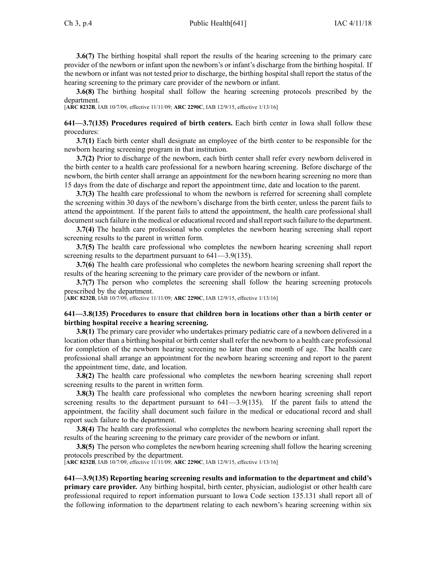**3.6(7)** The birthing hospital shall repor<sup>t</sup> the results of the hearing screening to the primary care provider of the newborn or infant upon the newborn's or infant's discharge from the birthing hospital. If the newborn or infant was not tested prior to discharge, the birthing hospital shall repor<sup>t</sup> the status of the hearing screening to the primary care provider of the newborn or infant.

**3.6(8)** The birthing hospital shall follow the hearing screening protocols prescribed by the department.

[**ARC [8232B](https://www.legis.iowa.gov/docs/aco/arc/8232B.pdf)**, IAB 10/7/09, effective 11/11/09; **ARC [2290C](https://www.legis.iowa.gov/docs/aco/arc/2290C.pdf)**, IAB 12/9/15, effective 1/13/16]

**641—3.7(135) Procedures required of birth centers.** Each birth center in Iowa shall follow these procedures:

**3.7(1)** Each birth center shall designate an employee of the birth center to be responsible for the newborn hearing screening program in that institution.

**3.7(2)** Prior to discharge of the newborn, each birth center shall refer every newborn delivered in the birth center to <sup>a</sup> health care professional for <sup>a</sup> newborn hearing screening. Before discharge of the newborn, the birth center shall arrange an appointment for the newborn hearing screening no more than 15 days from the date of discharge and repor<sup>t</sup> the appointment time, date and location to the parent.

**3.7(3)** The health care professional to whom the newborn is referred for screening shall complete the screening within 30 days of the newborn's discharge from the birth center, unless the paren<sup>t</sup> fails to attend the appointment. If the paren<sup>t</sup> fails to attend the appointment, the health care professional shall document such failure in the medical or educational record and shall report such failure to the department.

**3.7(4)** The health care professional who completes the newborn hearing screening shall repor<sup>t</sup> screening results to the paren<sup>t</sup> in written form.

**3.7(5)** The health care professional who completes the newborn hearing screening shall repor<sup>t</sup> screening results to the department pursuant to  $641-3.9(135)$ .

**3.7(6)** The health care professional who completes the newborn hearing screening shall repor<sup>t</sup> the results of the hearing screening to the primary care provider of the newborn or infant.

**3.7(7)** The person who completes the screening shall follow the hearing screening protocols prescribed by the department.

[**ARC [8232B](https://www.legis.iowa.gov/docs/aco/arc/8232B.pdf)**, IAB 10/7/09, effective 11/11/09; **ARC [2290C](https://www.legis.iowa.gov/docs/aco/arc/2290C.pdf)**, IAB 12/9/15, effective 1/13/16]

#### **641—3.8(135) Procedures to ensure that children born in locations other than <sup>a</sup> birth center or birthing hospital receive <sup>a</sup> hearing screening.**

**3.8(1)** The primary care provider who undertakes primary pediatric care of <sup>a</sup> newborn delivered in <sup>a</sup> location other than <sup>a</sup> birthing hospital or birth center shall refer the newborn to <sup>a</sup> health care professional for completion of the newborn hearing screening no later than one month of age. The health care professional shall arrange an appointment for the newborn hearing screening and repor<sup>t</sup> to the paren<sup>t</sup> the appointment time, date, and location.

**3.8(2)** The health care professional who completes the newborn hearing screening shall report screening results to the paren<sup>t</sup> in written form.

**3.8(3)** The health care professional who completes the newborn hearing screening shall report screening results to the department pursuant to  $641-3.9(135)$ . If the parent fails to attend the appointment, the facility shall document such failure in the medical or educational record and shall repor<sup>t</sup> such failure to the department.

**3.8(4)** The health care professional who completes the newborn hearing screening shall repor<sup>t</sup> the results of the hearing screening to the primary care provider of the newborn or infant.

**3.8(5)** The person who completes the newborn hearing screening shall follow the hearing screening protocols prescribed by the department.

[**ARC [8232B](https://www.legis.iowa.gov/docs/aco/arc/8232B.pdf)**, IAB 10/7/09, effective 11/11/09; **ARC [2290C](https://www.legis.iowa.gov/docs/aco/arc/2290C.pdf)**, IAB 12/9/15, effective 1/13/16]

**641—3.9(135) Reporting hearing screening results and information to the department and child's primary care provider.** Any birthing hospital, birth center, physician, audiologist or other health care professional required to repor<sup>t</sup> information pursuan<sup>t</sup> to Iowa Code section [135.131](https://www.legis.iowa.gov/docs/ico/section/135.131.pdf) shall repor<sup>t</sup> all of the following information to the department relating to each newborn's hearing screening within six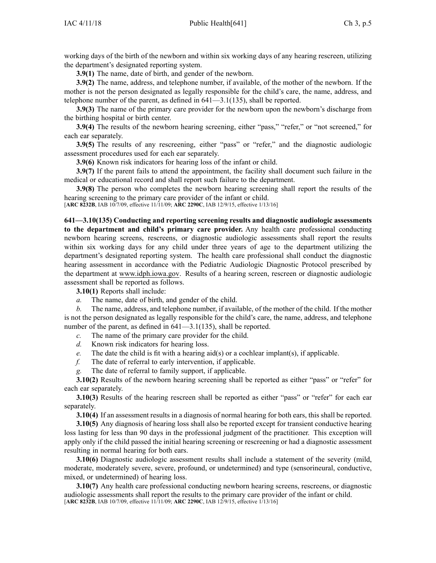working days of the birth of the newborn and within six working days of any hearing rescreen, utilizing the department's designated reporting system.

**3.9(1)** The name, date of birth, and gender of the newborn.

**3.9(2)** The name, address, and telephone number, if available, of the mother of the newborn. If the mother is not the person designated as legally responsible for the child's care, the name, address, and telephone number of the parent, as defined in [641—3.1](https://www.legis.iowa.gov/docs/iac/rule/641.3.1.pdf)(135), shall be reported.

**3.9(3)** The name of the primary care provider for the newborn upon the newborn's discharge from the birthing hospital or birth center.

**3.9(4)** The results of the newborn hearing screening, either "pass," "refer," or "not screened," for each ear separately.

**3.9(5)** The results of any rescreening, either "pass" or "refer," and the diagnostic audiologic assessment procedures used for each ear separately.

**3.9(6)** Known risk indicators for hearing loss of the infant or child.

**3.9(7)** If the paren<sup>t</sup> fails to attend the appointment, the facility shall document such failure in the medical or educational record and shall repor<sup>t</sup> such failure to the department.

**3.9(8)** The person who completes the newborn hearing screening shall repor<sup>t</sup> the results of the hearing screening to the primary care provider of the infant or child.

[**ARC [8232B](https://www.legis.iowa.gov/docs/aco/arc/8232B.pdf)**, IAB 10/7/09, effective 11/11/09; **ARC [2290C](https://www.legis.iowa.gov/docs/aco/arc/2290C.pdf)**, IAB 12/9/15, effective 1/13/16]

**641—3.10(135) Conducting and reporting screening results and diagnostic audiologic assessments to the department and child's primary care provider.** Any health care professional conducting newborn hearing screens, rescreens, or diagnostic audiologic assessments shall repor<sup>t</sup> the results within six working days for any child under three years of age to the department utilizing the department's designated reporting system. The health care professional shall conduct the diagnostic hearing assessment in accordance with the Pediatric Audiologic Diagnostic Protocol prescribed by the department at [www.idph.iowa.gov](http://www.idph.iowa.gov). Results of <sup>a</sup> hearing screen, rescreen or diagnostic audiologic assessment shall be reported as follows.

**3.10(1)** Reports shall include:

*a.* The name, date of birth, and gender of the child.

*b.* The name, address, and telephone number, if available, of the mother of the child. If the mother is not the person designated as legally responsible for the child's care, the name, address, and telephone number of the parent, as defined in  $641-3.1(135)$ , shall be reported.

*c.* The name of the primary care provider for the child.

- *d.* Known risk indicators for hearing loss.
- *e.* The date the child is fit with <sup>a</sup> hearing aid(s) or <sup>a</sup> cochlear implant(s), if applicable.
- *f.* The date of referral to early intervention, if applicable.
- *g.* The date of referral to family support, if applicable.

**3.10(2)** Results of the newborn hearing screening shall be reported as either "pass" or "refer" for each ear separately.

**3.10(3)** Results of the hearing rescreen shall be reported as either "pass" or "refer" for each ear separately.

**3.10(4)** If an assessment results in <sup>a</sup> diagnosis of normal hearing for both ears, this shall be reported.

**3.10(5)** Any diagnosis of hearing loss shall also be reported excep<sup>t</sup> for transient conductive hearing loss lasting for less than 90 days in the professional judgment of the practitioner. This exception will apply only if the child passed the initial hearing screening or rescreening or had <sup>a</sup> diagnostic assessment resulting in normal hearing for both ears.

**3.10(6)** Diagnostic audiologic assessment results shall include a statement of the severity (mild, moderate, moderately severe, severe, profound, or undetermined) and type (sensorineural, conductive, mixed, or undetermined) of hearing loss.

**3.10(7)** Any health care professional conducting newborn hearing screens, rescreens, or diagnostic audiologic assessments shall repor<sup>t</sup> the results to the primary care provider of the infant or child. [**ARC [8232B](https://www.legis.iowa.gov/docs/aco/arc/8232B.pdf)**, IAB 10/7/09, effective 11/11/09; **ARC [2290C](https://www.legis.iowa.gov/docs/aco/arc/2290C.pdf)**, IAB 12/9/15, effective 1/13/16]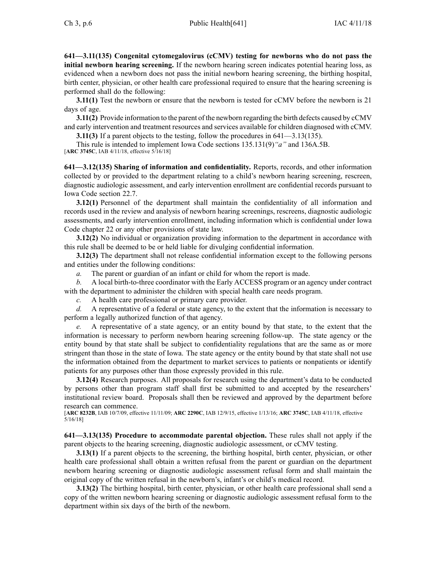**641—3.11(135) Congenital cytomegalovirus (cCMV) testing for newborns who do not pass the initial newborn hearing screening.** If the newborn hearing screen indicates potential hearing loss, as evidenced when <sup>a</sup> newborn does not pass the initial newborn hearing screening, the birthing hospital, birth center, physician, or other health care professional required to ensure that the hearing screening is performed shall do the following:

**3.11(1)** Test the newborn or ensure that the newborn is tested for cCMV before the newborn is 21 days of age.

**3.11(2)** Provide information to the paren<sup>t</sup> of the newborn regarding the birth defects caused by cCMV and early intervention and treatment resources and services available for children diagnosed with cCMV.

**3.11(3)** If <sup>a</sup> paren<sup>t</sup> objects to the testing, follow the procedures in [641—3.13](https://www.legis.iowa.gov/docs/iac/rule/641.3.13.pdf)(135).

This rule is intended to implement Iowa Code sections [135.131\(9\)](https://www.legis.iowa.gov/docs/ico/section/2018/135.131.pdf)*"a"* and [136A.5B](https://www.legis.iowa.gov/docs/ico/section/2018/136A.5B.pdf). [**ARC [3745C](https://www.legis.iowa.gov/docs/aco/arc/3745C.pdf)**, IAB 4/11/18, effective 5/16/18]

**641—3.12(135) Sharing of information and confidentiality.** Reports, records, and other information collected by or provided to the department relating to <sup>a</sup> child's newborn hearing screening, rescreen, diagnostic audiologic assessment, and early intervention enrollment are confidential records pursuan<sup>t</sup> to Iowa Code section [22.7](https://www.legis.iowa.gov/docs/ico/section/22.7.pdf).

**3.12(1)** Personnel of the department shall maintain the confidentiality of all information and records used in the review and analysis of newborn hearing screenings, rescreens, diagnostic audiologic assessments, and early intervention enrollment, including information which is confidential under Iowa Code chapter [22](https://www.legis.iowa.gov/docs/ico/chapter/22.pdf) or any other provisions of state law.

**3.12(2)** No individual or organization providing information to the department in accordance with this rule shall be deemed to be or held liable for divulging confidential information.

**3.12(3)** The department shall not release confidential information excep<sup>t</sup> to the following persons and entities under the following conditions:

*a.* The paren<sup>t</sup> or guardian of an infant or child for whom the repor<sup>t</sup> is made.

*b.* A local birth-to-three coordinator with the Early ACCESS program or an agency under contract with the department to administer the children with special health care needs program.

*c.* A health care professional or primary care provider.

*d.* A representative of <sup>a</sup> federal or state agency, to the extent that the information is necessary to perform <sup>a</sup> legally authorized function of that agency.

*e.* A representative of <sup>a</sup> state agency, or an entity bound by that state, to the extent that the information is necessary to perform newborn hearing screening follow-up. The state agency or the entity bound by that state shall be subject to confidentiality regulations that are the same as or more stringent than those in the state of Iowa. The state agency or the entity bound by that state shall not use the information obtained from the department to market services to patients or nonpatients or identify patients for any purposes other than those expressly provided in this rule.

**3.12(4)** Research purposes. All proposals for research using the department's data to be conducted by persons other than program staff shall first be submitted to and accepted by the researchers' institutional review board. Proposals shall then be reviewed and approved by the department before research can commence.

[**ARC [8232B](https://www.legis.iowa.gov/docs/aco/arc/8232B.pdf)**, IAB 10/7/09, effective 11/11/09; **ARC [2290C](https://www.legis.iowa.gov/docs/aco/arc/2290C.pdf)**, IAB 12/9/15, effective 1/13/16; **ARC [3745C](https://www.legis.iowa.gov/docs/aco/arc/3745C.pdf)**, IAB 4/11/18, effective 5/16/18]

**641—3.13(135) Procedure to accommodate parental objection.** These rules shall not apply if the paren<sup>t</sup> objects to the hearing screening, diagnostic audiologic assessment, or cCMV testing.

**3.13(1)** If a parent objects to the screening, the birthing hospital, birth center, physician, or other health care professional shall obtain <sup>a</sup> written refusal from the paren<sup>t</sup> or guardian on the department newborn hearing screening or diagnostic audiologic assessment refusal form and shall maintain the original copy of the written refusal in the newborn's, infant's or child's medical record.

**3.13(2)** The birthing hospital, birth center, physician, or other health care professional shall send <sup>a</sup> copy of the written newborn hearing screening or diagnostic audiologic assessment refusal form to the department within six days of the birth of the newborn.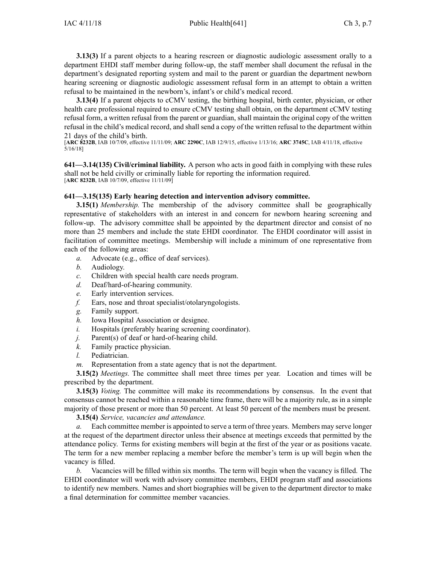**3.13(3)** If a parent objects to a hearing rescreen or diagnostic audiologic assessment orally to a department EHDI staff member during follow-up, the staff member shall document the refusal in the department's designated reporting system and mail to the paren<sup>t</sup> or guardian the department newborn hearing screening or diagnostic audiologic assessment refusal form in an attempt to obtain <sup>a</sup> written refusal to be maintained in the newborn's, infant's or child's medical record.

**3.13(4)** If <sup>a</sup> paren<sup>t</sup> objects to cCMV testing, the birthing hospital, birth center, physician, or other health care professional required to ensure cCMV testing shall obtain, on the department cCMV testing refusal form, <sup>a</sup> written refusal from the paren<sup>t</sup> or guardian, shall maintain the original copy of the written refusal in the child's medical record, and shall send <sup>a</sup> copy of the written refusal to the department within 21 days of the child's birth.

[**ARC [8232B](https://www.legis.iowa.gov/docs/aco/arc/8232B.pdf)**, IAB 10/7/09, effective 11/11/09; **ARC [2290C](https://www.legis.iowa.gov/docs/aco/arc/2290C.pdf)**, IAB 12/9/15, effective 1/13/16; **ARC [3745C](https://www.legis.iowa.gov/docs/aco/arc/3745C.pdf)**, IAB 4/11/18, effective 5/16/18]

**641—3.14(135) Civil/criminal liability.** A person who acts in good faith in complying with these rules shall not be held civilly or criminally liable for reporting the information required. [**ARC [8232B](https://www.legis.iowa.gov/docs/aco/arc/8232B.pdf)**, IAB 10/7/09, effective 11/11/09]

#### **641—3.15(135) Early hearing detection and intervention advisory committee.**

**3.15(1)** *Membership.* The membership of the advisory committee shall be geographically representative of stakeholders with an interest in and concern for newborn hearing screening and follow-up. The advisory committee shall be appointed by the department director and consist of no more than 25 members and include the state EHDI coordinator. The EHDI coordinator will assist in facilitation of committee meetings. Membership will include <sup>a</sup> minimum of one representative from each of the following areas:

- *a.* Advocate (e.g., office of deaf services).
- *b.* Audiology.
- *c.* Children with special health care needs program.
- *d.* Deaf/hard-of-hearing community.
- *e.* Early intervention services.
- *f.* Ears, nose and throat specialist/otolaryngologists.
- *g.* Family support.
- *h.* Iowa Hospital Association or designee.
- *i.* Hospitals (preferably hearing screening coordinator).
- *j.* Parent(s) of deaf or hard-of-hearing child.
- *k.* Family practice physician.
- *l.* Pediatrician.
- *m.* Representation from <sup>a</sup> state agency that is not the department.

**3.15(2)** *Meetings.* The committee shall meet three times per year. Location and times will be prescribed by the department.

**3.15(3)** *Voting.* The committee will make its recommendations by consensus. In the event that consensus cannot be reached within <sup>a</sup> reasonable time frame, there will be <sup>a</sup> majority rule, as in <sup>a</sup> simple majority of those presen<sup>t</sup> or more than 50 percent. At least 50 percen<sup>t</sup> of the members must be present.

**3.15(4)** *Service, vacancies and attendance.*

*a.* Each committee member is appointed to serve <sup>a</sup> term of three years. Members may serve longer at the reques<sup>t</sup> of the department director unless their absence at meetings exceeds that permitted by the attendance policy. Terms for existing members will begin at the first of the year or as positions vacate. The term for <sup>a</sup> new member replacing <sup>a</sup> member before the member's term is up will begin when the vacancy is filled.

*b.* Vacancies will be filled within six months. The term will begin when the vacancy is filled. The EHDI coordinator will work with advisory committee members, EHDI program staff and associations to identify new members. Names and short biographies will be given to the department director to make <sup>a</sup> final determination for committee member vacancies.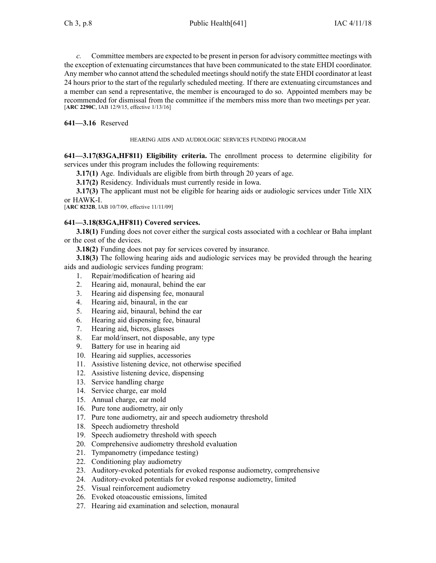*c.* Committee members are expected to be presen<sup>t</sup> in person for advisory committee meetings with the exception of extenuating circumstances that have been communicated to the state EHDI coordinator. Any member who cannot attend the scheduled meetings should notify the state EHDI coordinator at least 24 hours prior to the start of the regularly scheduled meeting. If there are extenuating circumstances and <sup>a</sup> member can send <sup>a</sup> representative, the member is encouraged to do so. Appointed members may be recommended for dismissal from the committee if the members miss more than two meetings per year. [**ARC [2290C](https://www.legis.iowa.gov/docs/aco/arc/2290C.pdf)**, IAB 12/9/15, effective 1/13/16]

**641—3.16** Reserved

### HEARING AIDS AND AUDIOLOGIC SERVICES FUNDING PROGRAM

**641—3.17(83GA,HF811) Eligibility criteria.** The enrollment process to determine eligibility for services under this program includes the following requirements:

**3.17(1)** Age. Individuals are eligible from birth through 20 years of age.

**3.17(2)** Residency. Individuals must currently reside in Iowa.

**3.17(3)** The applicant must not be eligible for hearing aids or audiologic services under Title XIX or HAWK-I.

[**ARC [8232B](https://www.legis.iowa.gov/docs/aco/arc/8232B.pdf)**, IAB 10/7/09, effective 11/11/09]

# **641—3.18(83GA,HF811) Covered services.**

**3.18(1)** Funding does not cover either the surgical costs associated with <sup>a</sup> cochlear or Baha implant or the cost of the devices.

**3.18(2)** Funding does not pay for services covered by insurance.

**3.18(3)** The following hearing aids and audiologic services may be provided through the hearing aids and audiologic services funding program:

- 1. Repair/modification of hearing aid
- 2. Hearing aid, monaural, behind the ear
- 3. Hearing aid dispensing fee, monaural
- 4. Hearing aid, binaural, in the ear
- 5. Hearing aid, binaural, behind the ear
- 6. Hearing aid dispensing fee, binaural
- 7. Hearing aid, bicros, glasses
- 8. Ear mold/insert, not disposable, any type
- 9. Battery for use in hearing aid
- 10. Hearing aid supplies, accessories
- 11. Assistive listening device, not otherwise specified
- 12. Assistive listening device, dispensing
- 13. Service handling charge
- 14. Service charge, ear mold
- 15. Annual charge, ear mold
- 16. Pure tone audiometry, air only
- 17. Pure tone audiometry, air and speech audiometry threshold
- 18. Speech audiometry threshold
- 19. Speech audiometry threshold with speech
- 20. Comprehensive audiometry threshold evaluation
- 21. Tympanometry (impedance testing)
- 22. Conditioning play audiometry
- 23. Auditory-evoked potentials for evoked response audiometry, comprehensive
- 24. Auditory-evoked potentials for evoked response audiometry, limited
- 25. Visual reinforcement audiometry
- 26. Evoked otoacoustic emissions, limited
- 27. Hearing aid examination and selection, monaural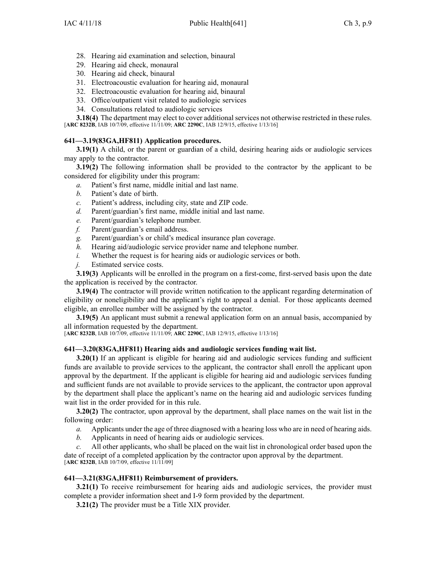- 28. Hearing aid examination and selection, binaural
- 29. Hearing aid check, monaural
- 30. Hearing aid check, binaural
- 31. Electroacoustic evaluation for hearing aid, monaural
- 32. Electroacoustic evaluation for hearing aid, binaural
- 33. Office/outpatient visit related to audiologic services
- 34. Consultations related to audiologic services

**3.18(4)** The department may elect to cover additional services not otherwise restricted in these rules. [**ARC [8232B](https://www.legis.iowa.gov/docs/aco/arc/8232B.pdf)**, IAB 10/7/09, effective 11/11/09; **ARC [2290C](https://www.legis.iowa.gov/docs/aco/arc/2290C.pdf)**, IAB 12/9/15, effective 1/13/16]

### **641—3.19(83GA,HF811) Application procedures.**

**3.19(1)** A child, or the parent or guardian of a child, desiring hearing aids or audiologic services may apply to the contractor.

**3.19(2)** The following information shall be provided to the contractor by the applicant to be considered for eligibility under this program:

- *a.* Patient's first name, middle initial and last name.
- *b.* Patient's date of birth.
- *c.* Patient's address, including city, state and ZIP code.
- *d.* Parent/guardian's first name, middle initial and last name.
- *e.* Parent/guardian's telephone number.
- *f.* Parent/guardian's email address.
- *g.* Parent/guardian's or child's medical insurance plan coverage.
- *h.* Hearing aid/audiologic service provider name and telephone number.
- *i.* Whether the reques<sup>t</sup> is for hearing aids or audiologic services or both.
- *j.* Estimated service costs.

**3.19(3)** Applicants will be enrolled in the program on <sup>a</sup> first-come, first-served basis upon the date the application is received by the contractor.

**3.19(4)** The contractor will provide written notification to the applicant regarding determination of eligibility or noneligibility and the applicant's right to appeal <sup>a</sup> denial. For those applicants deemed eligible, an enrollee number will be assigned by the contractor.

**3.19(5)** An applicant must submit <sup>a</sup> renewal application form on an annual basis, accompanied by all information requested by the department.

[**ARC [8232B](https://www.legis.iowa.gov/docs/aco/arc/8232B.pdf)**, IAB 10/7/09, effective 11/11/09; **ARC [2290C](https://www.legis.iowa.gov/docs/aco/arc/2290C.pdf)**, IAB 12/9/15, effective 1/13/16]

#### **641—3.20(83GA,HF811) Hearing aids and audiologic services funding wait list.**

**3.20(1)** If an applicant is eligible for hearing aid and audiologic services funding and sufficient funds are available to provide services to the applicant, the contractor shall enroll the applicant upon approval by the department. If the applicant is eligible for hearing aid and audiologic services funding and sufficient funds are not available to provide services to the applicant, the contractor upon approval by the department shall place the applicant's name on the hearing aid and audiologic services funding wait list in the order provided for in this rule.

**3.20(2)** The contractor, upon approval by the department, shall place names on the wait list in the following order:

- *a.* Applicants under the age of three diagnosed with <sup>a</sup> hearing loss who are in need of hearing aids.
- *b.* Applicants in need of hearing aids or audiologic services.

*c.* All other applicants, who shall be placed on the wait list in chronological order based upon the date of receipt of <sup>a</sup> completed application by the contractor upon approval by the department. [**ARC [8232B](https://www.legis.iowa.gov/docs/aco/arc/8232B.pdf)**, IAB 10/7/09, effective 11/11/09]

#### **641—3.21(83GA,HF811) Reimbursement of providers.**

**3.21(1)** To receive reimbursement for hearing aids and audiologic services, the provider must complete <sup>a</sup> provider information sheet and I-9 form provided by the department.

**3.21(2)** The provider must be <sup>a</sup> Title XIX provider.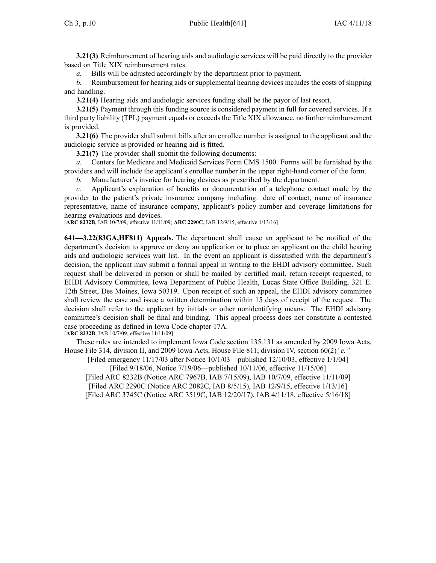**3.21(3)** Reimbursement of hearing aids and audiologic services will be paid directly to the provider based on Title XIX reimbursement rates.

*a.* Bills will be adjusted accordingly by the department prior to payment.

*b.* Reimbursement for hearing aids or supplemental hearing devices includes the costs of shipping and handling.

**3.21(4)** Hearing aids and audiologic services funding shall be the payor of last resort.

**3.21(5)** Payment through this funding source is considered paymen<sup>t</sup> in full for covered services. If <sup>a</sup> third party liability (TPL) paymen<sup>t</sup> equals or exceeds the Title XIX allowance, no further reimbursement is provided.

**3.21(6)** The provider shall submit bills after an enrollee number is assigned to the applicant and the audiologic service is provided or hearing aid is fitted.

**3.21(7)** The provider shall submit the following documents:

*a.* Centers for Medicare and Medicaid Services Form CMS 1500. Forms will be furnished by the providers and will include the applicant's enrollee number in the upper right-hand corner of the form.

*b.* Manufacturer's invoice for hearing devices as prescribed by the department.

*c.* Applicant's explanation of benefits or documentation of <sup>a</sup> telephone contact made by the provider to the patient's private insurance company including: date of contact, name of insurance representative, name of insurance company, applicant's policy number and coverage limitations for hearing evaluations and devices.

[**ARC [8232B](https://www.legis.iowa.gov/docs/aco/arc/8232B.pdf)**, IAB 10/7/09, effective 11/11/09; **ARC [2290C](https://www.legis.iowa.gov/docs/aco/arc/2290C.pdf)**, IAB 12/9/15, effective 1/13/16]

**641—3.22(83GA,HF811) Appeals.** The department shall cause an applicant to be notified of the department's decision to approve or deny an application or to place an applicant on the child hearing aids and audiologic services wait list. In the event an applicant is dissatisfied with the department's decision, the applicant may submit <sup>a</sup> formal appeal in writing to the EHDI advisory committee. Such reques<sup>t</sup> shall be delivered in person or shall be mailed by certified mail, return receipt requested, to EHDI Advisory Committee, Iowa Department of Public Health, Lucas State Office Building, 321 E. 12th Street, Des Moines, Iowa 50319. Upon receipt of such an appeal, the EHDI advisory committee shall review the case and issue <sup>a</sup> written determination within 15 days of receipt of the request. The decision shall refer to the applicant by initials or other nonidentifying means. The EHDI advisory committee's decision shall be final and binding. This appeal process does not constitute <sup>a</sup> contested case proceeding as defined in Iowa Code chapter [17A](https://www.legis.iowa.gov/docs/ico/chapter/17A.pdf). [**ARC [8232B](https://www.legis.iowa.gov/docs/aco/arc/8232B.pdf)**, IAB 10/7/09, effective 11/11/09]

These rules are intended to implement Iowa Code section [135.131](https://www.legis.iowa.gov/docs/ico/section/135.131.pdf) as amended by 2009 Iowa Acts, House File 314, division II, and 2009 Iowa Acts, House File 811, division IV, section 60(2)*"c."*

[Filed emergency 11/17/03 after Notice 10/1/03—published 12/10/03, effective 1/1/04] [Filed 9/18/06, Notice 7/19/06—published 10/11/06, effective 11/15/06] [Filed ARC [8232B](https://www.legis.iowa.gov/docs/aco/arc/8232B.pdf) ([Notice](https://www.legis.iowa.gov/docs/aco/arc/7967B.pdf) ARC 7967B, IAB 7/15/09), IAB 10/7/09, effective 11/11/09] [[Filed](https://www.legis.iowa.gov/docs/aco/arc/2290C.pdf) ARC 2290C ([Notice](https://www.legis.iowa.gov/docs/aco/arc/2082C.pdf) ARC 2082C, IAB 8/5/15), IAB 12/9/15, effective 1/13/16] [[Filed](https://www.legis.iowa.gov/docs/aco/arc/3745C.pdf) ARC 3745C ([Notice](https://www.legis.iowa.gov/docs/aco/arc/3519C.pdf) ARC 3519C, IAB 12/20/17), IAB 4/11/18, effective 5/16/18]